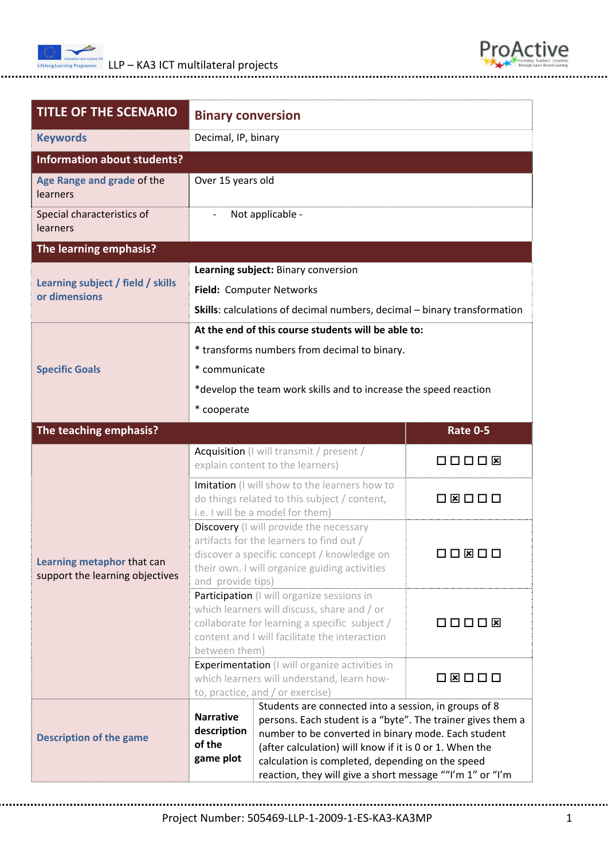



| <b>TITLE OF THE SCENARIO</b>                                  | <b>Binary conversion</b>                                                                                                                                                                                                                                                                                                                                                                                          |  |                                     |  |
|---------------------------------------------------------------|-------------------------------------------------------------------------------------------------------------------------------------------------------------------------------------------------------------------------------------------------------------------------------------------------------------------------------------------------------------------------------------------------------------------|--|-------------------------------------|--|
| <b>Keywords</b>                                               | Decimal, IP, binary                                                                                                                                                                                                                                                                                                                                                                                               |  |                                     |  |
| <b>Information about students?</b>                            |                                                                                                                                                                                                                                                                                                                                                                                                                   |  |                                     |  |
| Age Range and grade of the<br>learners                        | Over 15 years old                                                                                                                                                                                                                                                                                                                                                                                                 |  |                                     |  |
| Special characteristics of<br><b>learners</b>                 | Not applicable -                                                                                                                                                                                                                                                                                                                                                                                                  |  |                                     |  |
| The learning emphasis?                                        |                                                                                                                                                                                                                                                                                                                                                                                                                   |  |                                     |  |
|                                                               | Learning subject: Binary conversion                                                                                                                                                                                                                                                                                                                                                                               |  |                                     |  |
| Learning subject / field / skills                             | Field: Computer Networks                                                                                                                                                                                                                                                                                                                                                                                          |  |                                     |  |
| or dimensions                                                 | Skills: calculations of decimal numbers, decimal - binary transformation                                                                                                                                                                                                                                                                                                                                          |  |                                     |  |
|                                                               | At the end of this course students will be able to:                                                                                                                                                                                                                                                                                                                                                               |  |                                     |  |
|                                                               | * transforms numbers from decimal to binary.                                                                                                                                                                                                                                                                                                                                                                      |  |                                     |  |
| <b>Specific Goals</b>                                         | * communicate                                                                                                                                                                                                                                                                                                                                                                                                     |  |                                     |  |
|                                                               | *develop the team work skills and to increase the speed reaction                                                                                                                                                                                                                                                                                                                                                  |  |                                     |  |
|                                                               | * cooperate                                                                                                                                                                                                                                                                                                                                                                                                       |  |                                     |  |
| The teaching emphasis?                                        |                                                                                                                                                                                                                                                                                                                                                                                                                   |  | <b>Rate 0-5</b>                     |  |
| Learning metaphor that can<br>support the learning objectives | Acquisition (I will transmit / present /<br>explain content to the learners)                                                                                                                                                                                                                                                                                                                                      |  | $\Box\ \Box\ \Box\ \Box\ \boxtimes$ |  |
|                                                               | Imitation (I will show to the learners how to<br>do things related to this subject / content,<br>i.e. I will be a model for them)                                                                                                                                                                                                                                                                                 |  | <b>O Ø O O O</b>                    |  |
|                                                               | Discovery (I will provide the necessary<br>artifacts for the learners to find out /<br>discover a specific concept / knowledge on<br>their own. I will organize guiding activities<br>and provide tips)                                                                                                                                                                                                           |  | N N 18 N N N                        |  |
|                                                               | Participation (I will organize sessions in<br>which learners will discuss, share and / or<br>collaborate for learning a specific subject /<br>content and I will facilitate the interaction<br>between them)                                                                                                                                                                                                      |  | $\Box\ \Box\ \Box\ \Box\ \boxtimes$ |  |
|                                                               | <b>Experimentation</b> (I will organize activities in<br>which learners will understand, learn how-<br>to, practice, and / or exercise)                                                                                                                                                                                                                                                                           |  | □ ⊠ □ □ □                           |  |
| <b>Description of the game</b>                                | Students are connected into a session, in groups of 8<br><b>Narrative</b><br>persons. Each student is a "byte". The trainer gives them a<br>description<br>number to be converted in binary mode. Each student<br>of the<br>(after calculation) will know if it is 0 or 1. When the<br>game plot<br>calculation is completed, depending on the speed<br>reaction, they will give a short message ""I'm 1" or "I'm |  |                                     |  |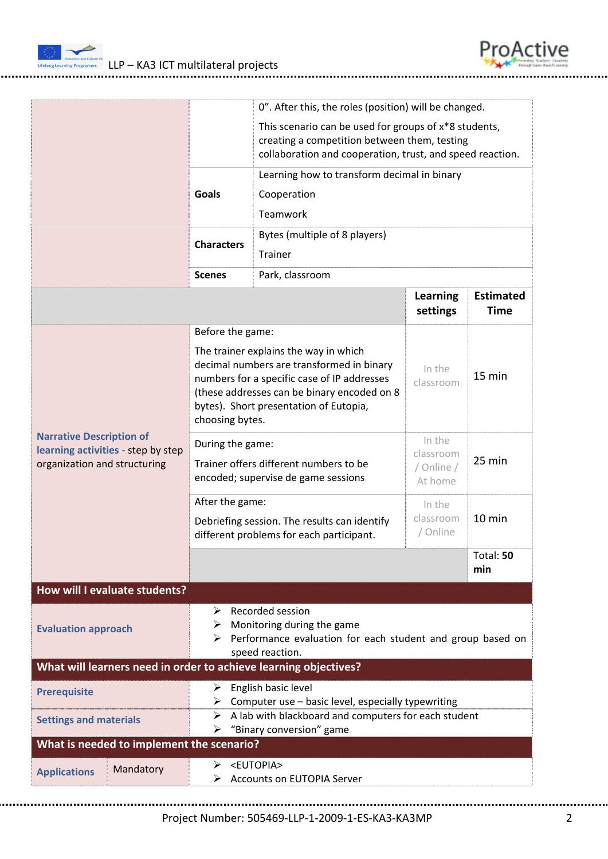

|                                                                                                       |                                                                                                                                                                                                                                                                   | This scenario can be used for groups of x*8 students,<br>creating a competition between them, testing<br>collaboration and cooperation, trust, and speed reaction. |                                              |                                 |
|-------------------------------------------------------------------------------------------------------|-------------------------------------------------------------------------------------------------------------------------------------------------------------------------------------------------------------------------------------------------------------------|--------------------------------------------------------------------------------------------------------------------------------------------------------------------|----------------------------------------------|---------------------------------|
|                                                                                                       | <b>Goals</b>                                                                                                                                                                                                                                                      |                                                                                                                                                                    |                                              |                                 |
|                                                                                                       | Teamwork<br>Bytes (multiple of 8 players)<br><b>Characters</b><br><b>Trainer</b>                                                                                                                                                                                  |                                                                                                                                                                    |                                              |                                 |
|                                                                                                       | <b>Scenes</b>                                                                                                                                                                                                                                                     | Park, classroom                                                                                                                                                    |                                              |                                 |
|                                                                                                       |                                                                                                                                                                                                                                                                   |                                                                                                                                                                    | <b>Learning</b><br>settings                  | <b>Estimated</b><br><b>Time</b> |
| <b>Narrative Description of</b><br>learning activities - step by step<br>organization and structuring | Before the game:<br>The trainer explains the way in which<br>decimal numbers are transformed in binary<br>numbers for a specific case of IP addresses<br>(these addresses can be binary encoded on 8<br>bytes). Short presentation of Eutopia,<br>choosing bytes. |                                                                                                                                                                    | In the<br>classroom                          | 15 min                          |
|                                                                                                       | During the game:<br>Trainer offers different numbers to be<br>encoded; supervise de game sessions                                                                                                                                                                 |                                                                                                                                                                    | In the<br>classroom<br>/ Online /<br>At home | 25 min                          |
|                                                                                                       | After the game:<br>Debriefing session. The results can identify<br>different problems for each participant.                                                                                                                                                       |                                                                                                                                                                    | In the<br>classroom<br>/ Online              | $10$ min                        |
|                                                                                                       |                                                                                                                                                                                                                                                                   |                                                                                                                                                                    |                                              | Total: 50<br>min                |
| How will I evaluate students?                                                                         |                                                                                                                                                                                                                                                                   |                                                                                                                                                                    |                                              |                                 |
| <b>Evaluation approach</b>                                                                            | $\triangleright$ Recorded session<br>Monitoring during the game<br>➤<br>$\triangleright$ Performance evaluation for each student and group based on<br>speed reaction.                                                                                            |                                                                                                                                                                    |                                              |                                 |
| What will learners need in order to achieve learning objectives?                                      |                                                                                                                                                                                                                                                                   |                                                                                                                                                                    |                                              |                                 |
| <b>Prerequisite</b>                                                                                   | $\triangleright$ English basic level<br>$\triangleright$ Computer use – basic level, especially typewriting                                                                                                                                                       |                                                                                                                                                                    |                                              |                                 |
| <b>Settings and materials</b>                                                                         | $\triangleright$ A lab with blackboard and computers for each student<br>"Binary conversion" game<br>➤                                                                                                                                                            |                                                                                                                                                                    |                                              |                                 |
| What is needed to implement the scenario?                                                             |                                                                                                                                                                                                                                                                   |                                                                                                                                                                    |                                              |                                 |
| Mandatory<br><b>Applications</b>                                                                      | > <eutopia><br/>⋗</eutopia>                                                                                                                                                                                                                                       | <b>Accounts on EUTOPIA Server</b>                                                                                                                                  |                                              |                                 |

0". After this, the roles (position) will be changed.

ProActive